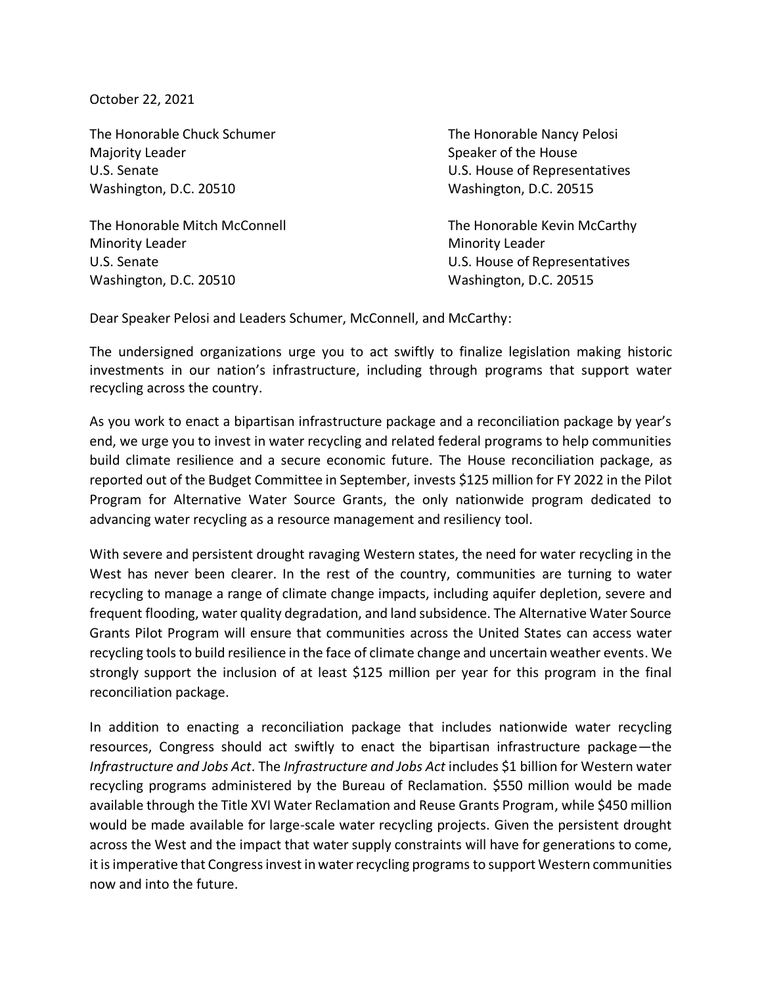October 22, 2021

The Honorable Chuck Schumer The Honorable Nancy Pelosi Majority Leader **Speaker of the House** Speaker of the House U.S. Senate U.S. House of Representatives Washington, D.C. 20510 Washington, D.C. 20515

The Honorable Mitch McConnell The Honorable Kevin McCarthy Minority Leader **Minority Leader Minority Leader** U.S. Senate U.S. Senate U.S. House of Representatives Washington, D.C. 20510 Washington, D.C. 20515

Dear Speaker Pelosi and Leaders Schumer, McConnell, and McCarthy:

The undersigned organizations urge you to act swiftly to finalize legislation making historic investments in our nation's infrastructure, including through programs that support water recycling across the country.

As you work to enact a bipartisan infrastructure package and a reconciliation package by year's end, we urge you to invest in water recycling and related federal programs to help communities build climate resilience and a secure economic future. The House reconciliation package, as reported out of the Budget Committee in September, invests \$125 million for FY 2022 in the Pilot Program for Alternative Water Source Grants, the only nationwide program dedicated to advancing water recycling as a resource management and resiliency tool.

With severe and persistent drought ravaging Western states, the need for water recycling in the West has never been clearer. In the rest of the country, communities are turning to water recycling to manage a range of climate change impacts, including aquifer depletion, severe and frequent flooding, water quality degradation, and land subsidence. The Alternative Water Source Grants Pilot Program will ensure that communities across the United States can access water recycling tools to build resilience in the face of climate change and uncertain weather events. We strongly support the inclusion of at least \$125 million per year for this program in the final reconciliation package.

In addition to enacting a reconciliation package that includes nationwide water recycling resources, Congress should act swiftly to enact the bipartisan infrastructure package—the *Infrastructure and Jobs Act*. The *Infrastructure and Jobs Act* includes \$1 billion for Western water recycling programs administered by the Bureau of Reclamation. \$550 million would be made available through the Title XVI Water Reclamation and Reuse Grants Program, while \$450 million would be made available for large-scale water recycling projects. Given the persistent drought across the West and the impact that water supply constraints will have for generations to come, it is imperative that Congress invest in water recycling programs to support Western communities now and into the future.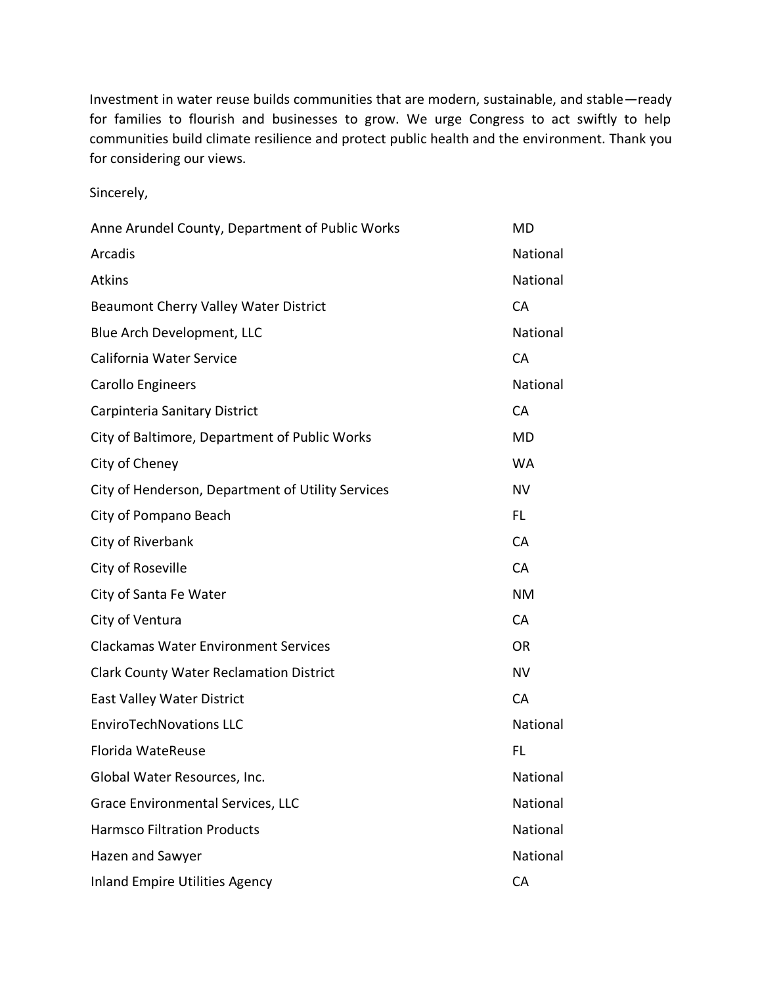Investment in water reuse builds communities that are modern, sustainable, and stable—ready for families to flourish and businesses to grow. We urge Congress to act swiftly to help communities build climate resilience and protect public health and the environment. Thank you for considering our views.

Sincerely,

| Anne Arundel County, Department of Public Works   | MD        |
|---------------------------------------------------|-----------|
| Arcadis                                           | National  |
| <b>Atkins</b>                                     | National  |
| Beaumont Cherry Valley Water District             | CA        |
| Blue Arch Development, LLC                        | National  |
| California Water Service                          | CA        |
| Carollo Engineers                                 | National  |
| Carpinteria Sanitary District                     | CA        |
| City of Baltimore, Department of Public Works     | MD        |
| City of Cheney                                    | <b>WA</b> |
| City of Henderson, Department of Utility Services | <b>NV</b> |
| City of Pompano Beach                             | FL.       |
| City of Riverbank                                 | CA        |
| City of Roseville                                 | CA        |
| City of Santa Fe Water                            | <b>NM</b> |
| City of Ventura                                   | CA        |
| <b>Clackamas Water Environment Services</b>       | <b>OR</b> |
| <b>Clark County Water Reclamation District</b>    | <b>NV</b> |
| East Valley Water District                        | CA        |
| <b>EnviroTechNovations LLC</b>                    | National  |
| Florida WateReuse                                 | FL        |
| Global Water Resources, Inc.                      | National  |
| Grace Environmental Services, LLC                 | National  |
| <b>Harmsco Filtration Products</b>                | National  |
| Hazen and Sawyer                                  | National  |
| <b>Inland Empire Utilities Agency</b>             | CA        |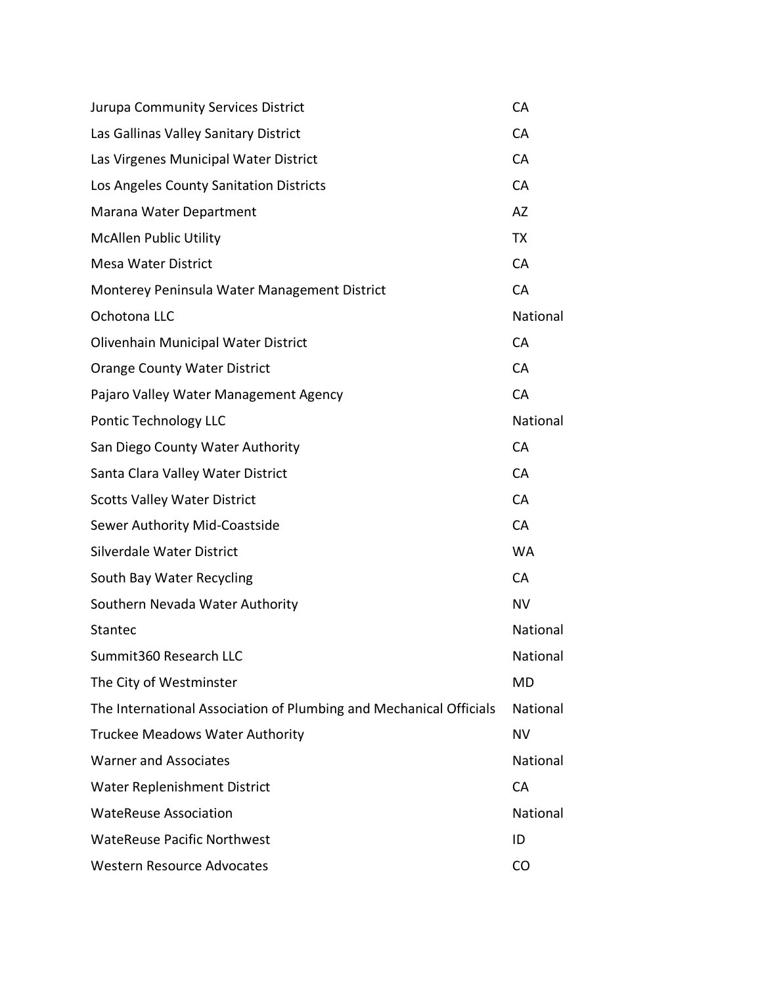| Jurupa Community Services District                                 | CA        |
|--------------------------------------------------------------------|-----------|
| Las Gallinas Valley Sanitary District                              | CA        |
| Las Virgenes Municipal Water District                              | CA        |
| Los Angeles County Sanitation Districts                            | CA        |
| Marana Water Department                                            | AZ        |
| <b>McAllen Public Utility</b>                                      | TX        |
| <b>Mesa Water District</b>                                         | CA        |
| Monterey Peninsula Water Management District                       | CA        |
| Ochotona LLC                                                       | National  |
| Olivenhain Municipal Water District                                | CA        |
| <b>Orange County Water District</b>                                | CA        |
| Pajaro Valley Water Management Agency                              | CA        |
| Pontic Technology LLC                                              | National  |
| San Diego County Water Authority                                   | CA        |
| Santa Clara Valley Water District                                  | CA        |
| <b>Scotts Valley Water District</b>                                | CA        |
| Sewer Authority Mid-Coastside                                      | CA        |
| Silverdale Water District                                          | <b>WA</b> |
| South Bay Water Recycling                                          | CA        |
| Southern Nevada Water Authority                                    | <b>NV</b> |
| Stantec                                                            | National  |
| Summit360 Research LLC                                             | National  |
| The City of Westminster                                            | <b>MD</b> |
| The International Association of Plumbing and Mechanical Officials | National  |
| <b>Truckee Meadows Water Authority</b>                             | <b>NV</b> |
| <b>Warner and Associates</b>                                       | National  |
| <b>Water Replenishment District</b>                                | CA        |
| <b>WateReuse Association</b>                                       | National  |
| <b>WateReuse Pacific Northwest</b>                                 | ID        |
| <b>Western Resource Advocates</b>                                  | CO        |